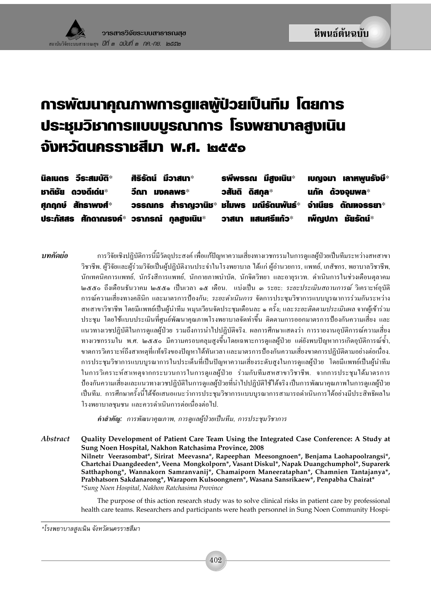# การพัฒนาคุณภาพการตูแลพู้ป่วยเป็นทีม โดยการ ประชุมวิชาการแบบบูรณาการ โรงพยาบาลสูงเนิน จังหวัดนครราชสีมา พ.ศ. เซ๕๕๑

| นิลเนตร วีระสมบัติ $*$       | ศิริรัตน์ มีวาสนา*                                                                           | รพีพรรณ มี <u>ส</u> ูงเนิน* | เบญจมา เลาหพูนรังษี*  |
|------------------------------|----------------------------------------------------------------------------------------------|-----------------------------|-----------------------|
| <b>้ ยาติชัย ดวงดีเด่น</b> * | วีณา มงคลพร $^\ast$                                                                          | วส <b>ันติ ดิสก</b> ุล*     | นกัค ด้วงจุมพล $\ast$ |
|                              | ศุภฤกษ์ สัทธาพงศ์ $^*$ วรรณกร สำราญวานิช $^*$ ชไมพร มณีรัตนพันธ์ $^*$ จำเนียร ตัณฑจรรยา $^*$ |                             |                       |
|                              | ประภัสสร ศักดาณรงค์* วราภรณ์ กุลสูงเนิน*   วาสนา แสนศรีแก้ว*                                 |                             | เพ็ญปกา มัยรัตน์*     |

การวิจัยเชิงปฏิบัติการนี้มีวัตถุประสงค์ เพื่อแก้ปัญหาความเสี่ยงทางเวชกรรมในการดูแลผู้ป่วยเป็นทีมระหว่างสหสาขา บทคัดย่อ วิชาชีพ. ผู้วิจัยและผู้ร่วมวิจัยเป็นผู้ปฏิบัติงานประจำในโรงพยาบาล ได้แก่ ผู้อำนวยการ, แพทย์, เภสัชกร, พยาบาลวิชาชีพ, นักเทคนิคการแพทย์, นักรังสีการแพทย์, นักกายภาพบำบัด, นักจิตวิทยา และอายุรเวท. ดำเนินการในช่วงเดือนตุลาคม ๒๕๕๐ ถึงเดือนธันวาคม ๒๕๕๑ เป็นเวลา ๑๕ เดือน. แบ่งเป็น ๓ ระยะ: ระยะประเมินสถานการณ์ วิเคราะห์อุบัติ ิการณ์ความเสี่ยงทางคลินิก และมาตรการป้องกัน; *ระยะดำเนินการ* จัดการประชุมวิชาการแบบบูรณาการร่วมกันระหว่าง ิสหสาขาวิชาชีพ โดยมีแพทย์เป็นผู้นำทีม หมุนเวียนจัดประชุมเดือนละ ๑ ครั้ง; และ*ระยะติดตามประเมินผล* จากผู้เข้าร่วม ี ประชุม โดยใช้แบบประเมินที่ศูนย์พัฒนาคุณภาพโรงพยาบาลจัดทำขึ้น ติดตามการออกมาตรการป้องกันความเสี่ยง และ แนวทางเวชปฏิบัติในการดูแลผู้ป่วย รวมถึงการนำไปปฏิบัติจริง. ผลการศึกษาแสดงว่า การรายงานอุบัติการณ์ความเสี่ยง ทางเวชกรรมใน พ.ศ. ๒๕๕๐ มีความครอบคลุมสูงขึ้นโดยเฉพาะการดูแลผู้ป่วย แต่ยังพบปัญหาการเกิดอุบัติการณ์ซ้ำ, ี ขาดการวิเคราะห์ถึงสาเหตุที่แท้จริงของปัญหาใด้ทันเวลา และมาตรการป้องกันความเสี่ยงขาดการปฏิบัติตามอย่างต่อเนื่อง. ึการประชุมวิชาการแบบบูรณาการในประเด็นที่เป็นปัญหาความเสี่ยงระดับสูงในการดูแลผู้ป่วย โดยมีแพทย์เป็นผู้นำทีม ในการวิเคราะห์สาเหตุจากกระบวนการในการดูแลผู้ป่วย ร่วมกับทีมสหสาขาวิชาชีพ. จากการประชุมได้มาตรการ ป้องกันความเสี่ยงและแนวทางเวชปฏิบัติในการดูแลผู้ป่วยที่นำไปปฏิบัติใช้ได้จริง เป็นการพัฒนาคุณภาพในการดูแลผู้ป่วย ้เป็นทีม. การศึกษาครั้งนี้ได้ข้อเสนอแนะว่าการประชุมวิชาการแบบบูรณาการสามารถดำเนินการได้อย่างมีประสิทธิผลใน โรงพยาบาลชุมชน และควรคำเนินการต่อเนื่องต่อไป.

คำสำคัญ: การพัฒนาคุณภาพ, การดูแลผู้ป่วยเป็นทีม, การประชุมวิชาการ

Abstract Quality Development of Patient Care Team Using the Integrated Case Conference: A Study at Sung Noen Hospital, Nakhon Ratchasima Province, 2008 Nilnetr Veerasombat\*, Sirirat Meevasna\*, Rapeephan Meesongnoen\*, Benjama Laohapoolrangsi\*, Chartchai Duangdeeden\*, Veena Mongkolporn\*, Vasant Diskul\*, Napak Duangchumphol\*, Suparerk Satthaphong\*, Wannakorn Samranvanij\*, Chamaiporn Maneerataphan\*, Chamnien Tantajanya\*, Prabhatsorn Sakdanarong\*, Waraporn Kulsoongnern\*, Wasana Sansrikaew\*, Penpabha Chairat\* \*Sung Noen Hospital, Nakhon Ratchasima Province

> The purpose of this action research study was to solve clinical risks in patient care by professional health care teams. Researchers and participants were heath personnel in Sung Noen Community Hospi-

<sup>\*</sup>โรงพยาบาลสูงเนิน จังหวัดนครราชสีมา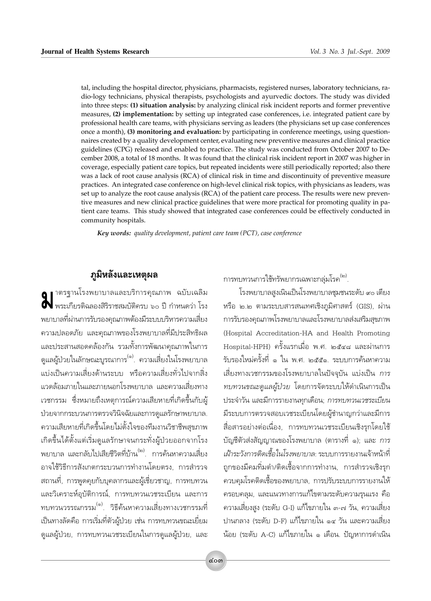tal, including the hospital director, physicians, pharmacists, registered nurses, laboratory technicians, radio-logy technicians, physical therapists, psychologists and ayurvedic doctors. The study was divided into three steps: (1) situation analysis: by analyzing clinical risk incident reports and former preventive measures, (2) implementation: by setting up integrated case conferences, i.e. integrated patient care by professional health care teams, with physicians serving as leaders (the physicians set up case conferences once a month), (3) monitoring and evaluation: by participating in conference meetings, using questionnaires created by a quality development center, evaluating new preventive measures and clinical practice guidelines (CPG) released and enabled to practice. The study was conducted from October 2007 to December 2008, a total of 18 months. It was found that the clinical risk incident report in 2007 was higher in coverage, especially patient care topics, but repeated incidents were still periodically reported; also there was a lack of root cause analysis (RCA) of clinical risk in time and discontinuity of preventive measure practices. An integrated case conference on high-level clinical risk topics, with physicians as leaders, was set up to analyze the root cause analysis (RCA) of the patient care process. The results were new preventive measures and new clinical practice guidelines that were more practical for promoting quality in patient care teams. This study showed that integrated case conferences could be effectively conducted in community hospitals.

Key words: quality development, patient care team (PCT), case conference

# ภูมิหลังและเหตุผล

**ঀ**ॖॗॗॗॗॗॗॗॗॗॗॗ<br>ঀৢµ<sup>ๅตรฐานโรงพยาบาลและบริการคุณภาพ ฉบับเฉลิม</sup>  $\blacklozenge$  พระเกียรติฉลองสิริราชสมบัติครบ ๖๐ ปี กำหนดว่า โรง พยาบาลที่ผ่านการรับรองคุณภาพต้องมีระบบบริหารความเสี่ยง ความปลอดภัย และคุณภาพของโรงพยาบาลที่มีประสิทธิผล และประสานสอดคล้องกัน รวมทั้งการพัฒนาคุณภาพในการ ้ดูแลผู้ป่วยในลักษณะบูรณาการ<sup>(๑)</sup>. ความเสี่ยงในโรงพยาบาล แบ่งเป็นความเสี่ยงด้านระบบ หรือความเสี่ยงทั่วไปจากสิ่ง แวดล้อมภายในและภายนอกโรงพยาบาล และความเสี่ยงทาง เวชกรรม ซึ่งหมายถึงเหตุการณ์ความเสียหายที่เกิดขึ้นกับผู้ ป่วยจากกระบวนการตรวจวินิจฉัยและการดูแลรักษาพยาบาล. ความเสียหายที่เกิดขึ้นโดยไม่ตั้งใจของทีมงานวิชาชีพสุขภาพ เกิดขึ้นได้ตั้งแต่เริ่มดูแลรักษาจนกระทั่งผู้ป่วยออกจากโรง พยาบาล และกลับไปเสียชีวิตที่บ้าน<sup>(๒)</sup>, การค้นหาความเสี่ยง อาจใช้วิธีการสังเกตกระบวนการทำงานโดยตรง, การสำรวจ ิสถานที่, การพูดคุยกับบุคลากรและผู้เชี่ยวชาญ, การทบทวน และวิเคราะห์อุบัติการณ์, การทบทวนเวชระเบียน และการ ิทบทวนวรรณกรรม<sup>(๑)</sup>. วิธีค้นหาความเสี่ยงทางเวชกรรมที่ เป็นทางลัดคือ การเริ่มที่ตัวผู้ป่วย เช่น การทบทวนขณะเยี่ยม ดูแลผู้ป่วย, การทบทวนเวชระเบียนในการดูแลผู้ป่วย, และ การทบทวนการใช้ทรัพยากรเฉพาะกลุ่มโรค<sup>(๒)</sup>.

โรงพยาบาลสูงเนินเป็นโรงพยาบาลชุมชนระดับ ๙๐ เตียง หรือ ๒.๒ ตามระบบสารสนเทศเชิงภูมิศาสตร์ (GIS), ผ่าน การรับรองคุณภาพโรงพยาบาลและโรงพยาบาลส่งเสริมสุขภาพ (Hospital Accreditation-HA and Health Promoting Hospital-HPH) ครั้งแรกเมื่อ พ.ศ. ๒๕๔๘ และผ่านการ รับรองใหม่ครั้งที่ ๑ ใน พ.ศ. ๒๕๕๑. ระบบการค้นหาความ เสี่ยงทางเวชกรรมของโรงพยาบาลในปัจจุบัน แบ่งเป็น *การ ทบทวนขณะดูแลผู้ป่วย* โดยการจัดระบบให้ดำเนินการเป็น ประจำวัน และมีการรายงานทุกเดือน; การทบทวนเวชระเบียน มีระบบการตรวจสอบเวชระเบียนโดยผู้ชำนาญกว่าและมีการ สื่อสารอย่างต่อเนื่อง, การทบทวนเวชระเบียนเชิงรุกโดยใช้ ู บัญชีตัวส่งสัญญาณของโรงพยาบาล (ตารางที่ ๑); และ *การ* เฝ้าระวังการติดเชื้อในโรงพยาบาล: ระบบการรายงานเจ้าหน้าที่ ถูกของมีคมทิ่มตำ/ติดเชื้อจากการทำงาน, การสำรวจเชิงรุก ควบคุมโรคติดเชื้อของพยาบาล, การปรับระบบการรายงานให้ ครอบคลุม, และแนวทางการแก้ไขตามระดับความรุนแรง คือ ความเสี่ยงสูง (ระดับ G-I) แก้ไขภายใน ๓-๗ วัน, ความเสี่ยง ปานกลาง (ระดับ D-F) แก้ไขภายใน ๑๔ วัน และความเสี่ยง น้อย (ระดับ A-C) แก้ไขภายใน ๑ เดือน. ปัญหาการดำเนิน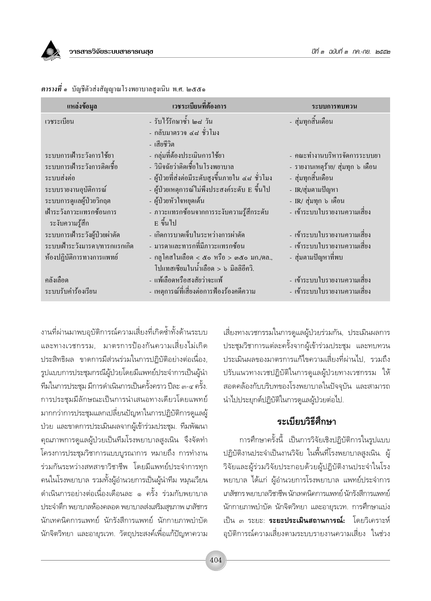

| แหล่งข้อมูล                    | ้เวชระเบียนที่ต้องการ                            | ระบบการทบทวน                      |
|--------------------------------|--------------------------------------------------|-----------------------------------|
| เวชระเบียน                     | - รับไว้รักษาซ้ำ ๒๘ วัน                          | - สุ่มทุกสิ้นเดือน                |
|                                | - กลับมาตรวจ ๔๘ ชั่วโมง                          |                                   |
|                                | - เสียชีวิต                                      |                                   |
| ระบบการเฝ้าระวังการใช้ยา       | - กลุ่มที่ต้องประเมินการใช้ยา                    | - คณะทำงานบริหารจัดการระบบยา      |
| ระบบการเฝ้าระวังการติดเชื้อ    | - วินิจฉัยว่าติดเชื้อในโรงพยาบาล                 | - รายงานเหตุร้าย/ สุ่มทุก ๖ เดือน |
| ระบบส่งต่อ                     | - ผู้ป่วยที่ส่งต่อมีระดับสูงขึ้นภายใน ๔๘ ชั่วโมง | - สุ่มทุกสิ้นเดือน                |
| ระบบรายงานอุบัติการณ์          | - ผู้ป่วยเหตุการณ์ไม่พึงประสงค์ระดับ E ขึ้นไป    | - IR/สุ่มตามปัญหา                 |
| ระบบการดูแลผู้ป่วยวิกฤต        | - ผู้ป่วยหัวใจหยุดเต้น                           | - IR/ สุ่มทุก ๖ เดือน             |
| เฝ้าระวังภาวะแทรกซ้อนการ       | - ภาวะแทรกซ้อนจากการระงับความรู้สึกระดับ         | - เข้าระบบใบรายงานความเสี่ยง      |
| ระงับความรู้สึก                | E ขึ้นไป                                         |                                   |
| ระบบการเฝ้าระวังผู้ป่วยผ่าตัด  | - เกิดการบาดเจ็บในระหว่างการผ่าตัด               | - เข้าระบบใบรายงานความเสี่ยง      |
| ระบบเฝ้าระวังมารดา/ทารกแรกเกิด | - มารดาและทารกที่มีภาวะแทรกซ้อน                  | - เข้าระบบใบรายงานความเสี่ยง      |
| ห้องปฏิบัติการทางการแพทย์      | - กลูโคสในเลือด < ๕๐ หรือ > ๓๕๐ มก./ดล.,         | - สุ่มตามปัญหาที่พบ               |
|                                | โปแทสเซียมในน้ำเลือด > ๖ มิลลิอีควิ.             |                                   |
| คลังเลือด                      | - แพ้เลือดหรือสงสัยว่าจะแพ้                      | - เข้าระบบใบรายงานความเสี่ยง      |
| ระบบรับคำร้องเรียน             | - เหตุการณ์ที่เสี่ยงต่อการฟ้องร้องคดีความ        | - เข้าระบบใบรายงานความเสี่ยง      |

| ◅ | $\sim$ 4 $\sim$ 1 $\sim$ |                                                         |  |
|---|--------------------------|---------------------------------------------------------|--|
|   |                          | ตารางที่ ๑  บัญชีตัวส่งสัญญาณโรงพยาบาลสูงเนิน พ.ศ. ๒๕๕๑ |  |
|   |                          |                                                         |  |

งานที่ผ่านมาพบอุบัติการณ์ความเสี่ยงที่เกิดซ้ำทั้งด้านระบบ และทางเวชกรรม, มาตรการป้องกันความเสี่ยงไม่เกิด ประสิทธิผล ขาดการมีส่วนร่วมในการปฏิบัติอย่างต่อเนื่อง, รูปแบบการประชุมกรณีผู้ป่วยโดยมีแพทย์ประจำการเป็นผู้นำ ทีมในการประชุม มีการดำเนินการเป็นครั้งคราว ปีละ ๓-๔ ครั้ง. การประชุมมีลักษณะเป็นการนำเสนอทางเดียวโดยแพทย์ ้มากกว่าการประชุมแลกเปลี่ยนปัญหาในการปฏิบัติการดูแลผู้ ป่วย และขาดการประเมินผลจากผู้เข้าร่วมประชุม. ทีมพัฒนา คุณภาพการดูแลผู้ป่วยเป็นทีมโรงพยาบาลสูงเนิน จึงจัดทำ โครงการประชุมวิชาการแบบบูรณาการ หมายถึง การทำงาน ร่วมกันระหว่างสหสาขาวิชาชีพ โดยมีแพทย์ประจำการทุก ้คนในโรงพยาบาล รวมทั้งผู้อำนวยการเป็นผู้นำทีม หมุนเวียน ดำเนินการอย่างต่อเนื่องเดือนละ ๑ ครั้ง ร่วมกับพยาบาล ประจำตึก พยาบาลห้องคลอด พยาบาลส่งเสริมสขภาพ เภสัชกร นักเทคนิคการแพทย์ นักรังสีการแพทย์ นักกายภาพบำบัด ้นักจิตวิทยา และอายุรเวท. วัตถุประสงค์เพื่อแก้ปัญหาความ

เสี่ยงทางเวชกรรมในการดูแลผู้ป่วยร่วมกัน, ประเมินผลการ ประชุมวิชาการแต่ละครั้งจากผู้เข้าร่วมประชุม และทบทวน ประเมินผลของมาตรการแก้ไขความเสี่ยงที่ผ่านไป, รวมถึง ปรับแนวทางเวชปฏิบัติในการดูแลผู้ป่วยทางเวชกรรม ให้ ้สอดคล้องกับบริบทของโรงพยาบาลในปัจจุบัน และสามารถ นำไปประยุกต์ปฏิบัติในการดูแลผู้ป่วยต่อไป.

# ระเบียบวิธีศึกษา

การศึกษาครั้งนี้ เป็นการวิจัยเชิงปฏิบัติการในรูปแบบ ปฏิบัติงานประจำเป็นงานวิจัย ในพื้นที่โรงพยาบาลสูงเนิน. ผู้ วิจัยและผู้ร่วมวิจัยประกอบด้วยผู้ปฏิบัติงานประจำในโรง ้พยาบาล ได้แก่ ผู้อำนวยการโรงพยาบาล แพทย์ประจำการ เภสัชกร พยาบาลวิชาชีพ นักเทคนิคการแพทย์ นักรังสีการแพทย์ นักกายภาพบำบัด นักจิตวิทยา และอายรเวท. การศึกษาแบ่ง เป็น ๓ ระยะ: **ระยะประเมินสถานการณ์:** โดยวิเคราะห์ ้อุบัติการณ์ความเสี่ยงตามระบบรายงานความเสี่ยง ในช่วง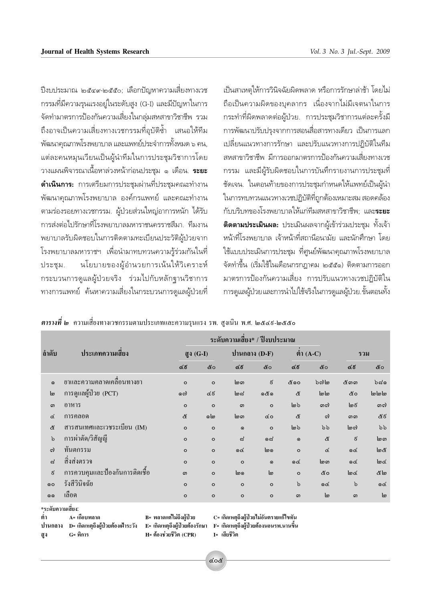ปีงบประมาณ ๒๕๔๙-๒๕๕๐; เลือกปัญหาความเสี่ยงทางเวช เป็นสาเหตุให้การวินิจฉัยผิดพลาด หรือการรักษาล่าช้า โดยไม่ ถือเป็นความผิดของบุคลากร เนื่องจากไม่มีเจตนาในการ กรรมที่มีความรุนแรงอยู่ในระดับสูง (G-I) และมีปัญหาในการ กระทำที่ผิดพลาดต่อผู้ป่วย. การประชุมวิชาการแต่ละครั้งมื จัดทำมาตรการป้องกันความเสี่ยงในกล่มสหสาขาวิชาชีพ รวม ถึงอาจเป็นความเสี่ยงทางเวชกรรมที่อุบัติซ้ำ เสนอให้ทีม การพัฒนาปรับปรุงจากการสอนสื่อสารทางเดียว เป็นการแลก ้พัฒนาคุณภาพโรงพยาบาล และแพทย์ประจำการทั้งหมด ๖ คน, ้เปลี่ยนแนวทางการรักษา และปรับแนวทางการปภิบัติในทีม แต่ละคนหมุนเวียนเป็นผู้นำทีมในการประชุมวิชาการโดย สหสาขาวิชาชีพ มีการออกมาตรการป้องกันความเสี่ยงทางเวช วางแผนพิจารณาเนื้อหาล่วงหน้าก่อนประชุม ๑ เดือน. **ระยะ** กรรม และมีผ้รับผิดชอบในการบันทึกรายงานการประชมที่ **ดำเนินการ:** การเตรียมการประชุมผ่านที่ประชุมคณะทำงาน ชัดเจน. ในตอนท้ายของการประชุมกำหนดให้แพทย์เป็นผู้นำ ้พัฒนาคณภาพโรงพยาบาล องค์กรแพทย์ และคณะทำงาน ในการทบทวนแนวทางเวชปฏิบัติที่ถกต้องเหมาะสม สอดคล้อง ิตามร่องรอยทางเวชกรรม. ผู้ป่วยส่วนใหญ่อาการหนัก ได้รับ กับบริบทของโรงพยาบาลให้แก่ทีมสหสาขาวิชาชีพ<sup>.</sup> แล**ะระยะ** การส่งต่อไปรักษาที่โรงพยาบาลมหาราชนครราชสีมา. ทีมงาน **ติดตามประเมินผล:** ประเมินผลจากผู้เข้าร่วมประชุม ทั้งเจ้า พยาบาลรับผิดชอบในการติดตามทะเบียนประวัติผู้ป่วยจาก หน้าที่โรงพยาบาล เจ้าหน้าที่สถานีอนามัย และนักศึกษา โดย ใช้แบบประเมินการประชุม ที่ศูนย์พัฒนาคุณภาพโรงพยาบาล โรงพยาบาลมหาราชฯ เพื่อนำมาทบทวนความรู้ร่วมกันในที่ นโยบายของผู้อำนวยการเน้นให้วิเคราะห์ จัดทำขึ้น (เริ่มใช้ในเดือนกรกฎาคม ๒๕๕๑) ติดตามการออก กระบวนการดูแลผู้ป่วยจริง ร่วมไปกับหลักฐานวิชาการ ้มาตรการป้องกันความเสี่ยง การปรับแนวทางเวชปฏิบัติใน ้ทางการแพทย์ ค้นหาความเสี่ยงในกระบวนการดูแลผู้ป่วยที่ การดูแลผู้ป่วยและการนำไปใช้จริงในการดูแลผู้ป่วย ขั้นตอนทั้ง

ระดับความเสี่ยง\* / ปีงบประมาณ ประเภทความเสี่ยง ลำดับ ปานกลาง (D-F) ต่ำ  $(A-C)$ สูง $(G-I)$ รวม ઢક ൪൦ **άξ** ൪൦ ૯૬ ៥o ๔៩ ൙൦ ยาและความคลาดเคลื่อนทางยา  $lmm$ ξĹ, ഭ്രെ )<br>၁ ကါ  $\ln$ ഭ്രണ ່າຝຸດ  $\circ$  $\Omega$ การดูแลผู้ป่วย (PCT) l၈ നെ ನ ನ  $Im \sim$ ەبى ڀر l၈l၈ ്റ lmlmlm อาหาร  $\circ$  $\circ$  $\omega$ ෨෨  $\ln \tilde{\epsilon}$ ගඟ  $\circ$ ഹ ഩ การคลอด ๔ بع வி  $\log$ G O ද්  $\omega$ ഩഩ ಕ್ಷಿಕ್ಕ สารสนเทศและเวชระเบียน (IM)  $b<sub>b</sub>$  $\ln h$  $Im \omega$  $h h$ ېج  $\Omega$  $\circ$  $\Omega$  $\circ$ การผ่าตัด/วิสัญญี ಕ  $\mathbf{b}$  $\circ$  $\circ$ یے بہم െ یو  $lmm$ ทันตกรรม ക്  $\circ$  $\circ$  $\mathfrak{g}$  $\ln a$  $\epsilon$ ىمە  $\ln 8$  $\circ$ สิ่งส่งตรวจ <u>ດ໔</u>  $\log$ یے  $\mathsf{ad}$ ကြက  $\circ$  $\circ$  $\circ$  $\Omega$ การควบคมและป้องกันการติดเชื้อ  $\vec{5}$ ៥០  $\log$ هایج  $\omega$  $\Omega$ lmo lan  $\circ$ รังสีวินิจฉัย  $\mathfrak{b}$ ග $\alpha$  $\mathfrak{b}$  $\odot$  $\circ$  $\circ$  $\circ$  $\circ$  $\circ$ เลือด lை lள ໑໑  $\Omega$  $\circ$  $\Omega$ ഩ  $\circ$ ഩ

*ตารางที่ ๒* ความเสี่ยงทางเวชกรรมตามประเภทและความรุนแรง รพ. สูงเนิน พ.ศ. ๒๕๔ธ-๒๕๕๐

\*ระดับความเสี่ยง:

สง

ประชุม.

ด่ำ A= เกือบพลาด ปานกลาง D= เกิดเหตุถึงผู้ป่วยต้องเฝ้าระวัง

G= พิการ

B= พลาดแต่ไม่ถึงผ้าไวย E= เกิดเหตุถึงผู้ป่วยต้องรักษา H= ต้องช่วยชีวิต (CPR)

C= เกิดเหตุถึงผู้ป่วยไม่อันตรายแก้ไขทัน

-<br>F= เกิดเหตุถึงผู้ป่วยต้องนอนรพ.นานขึ้น

1= เสียชีวิต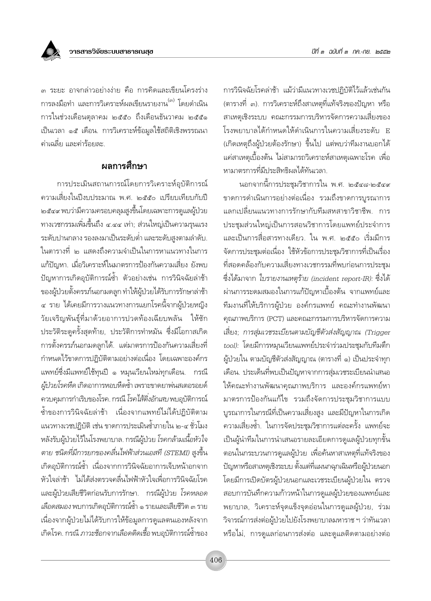๓ ระยะ อาจกล่าวอย่างง่าย คือ การคิดและเขียนโครงร่าง ิการลงมือทำ และการวิเคราะห์ผลเขียนรายงาน<sup>(๓)</sup> โดยดำเนิน การในช่วงเดือนตุลาคม ๒๕๕๐ ถึงเดือนธันวาคม ๒๕๕๑ เป็นเวลา ๑๕ เดือน. การวิเคราะห์ข้อมูลใช้สถิติเชิงพรรณนา ค่าเฉลี่ย และค่าร้อยละ

### ผลการศึกษา

การประเมินสถานการณ์โดยการวิเคราะห์อบัติการณ์ ความเสี่ยงในปีงบประมาณ พ.ศ. ๒๕๕๐ เปรียบเทียบกับปี ็๒๕๔๙ พบว่ามีความครอบคลุมสูงขึ้นโดยเฉพาะการดูแลผู้ป่วย ทางเวชกรรมเพิ่มขึ้นถึง ๔.๔๔ เท่า; ส่วนใหญ่เป็นความรุนแรง ระดับปานกลาง รองลงมาเป็นระดับต่ำ และระดับสูงตามลำดับ. ในตารางที่ ๒ แสดงถึงความจำเป็นในการหาแนวทางในการ แก้ปัญหา. เมื่อวิเคราะห์ในมาตรการป้องกันความเสี่ยง ยังพบ ้ปัญหาการเกิดอุบัติการณ์ซ้ำ ตัวอย่างเช่น การวินิจฉัยล่าช้า ของผู้ป่วยตั้งครรภ์นอกมดลูก ทำให้ผู้ป่วยได้รับการรักษาล่าช้า ๔ ราย ได้เคยมีการวางแนวทางการแยกโรคนี้จากผู้ป่วยหญิง ้วัยเจริญพันธุ์ที่มาด้วยอาการปวดท้องเฉียบพลัน ให้ซัก ประวัติระดูครั้งสุดท้าย, ประวัติการทำหมัน ซึ่งมีโอกาสเกิด การตั้งครรภ์นอกมดลูกได้. แต่มาตรการป้องกันความเสี่ยงที่ กำหนดไว้ขาดการปฏิบัติตามอย่างต่อเนื่อง โดยเฉพาะองค์กร แพทย์ซึ่งมีแพทย์ใช้ทุนปี ๑ หมุนเวียนใหม่ทุกเดือน. กรณี ผู้ป่วยโรคหืด เกิดอาการหอบหืดซ้ำ เพราะขาดยาพ่นสเตอรอยด์ ์ ควบคุมการกำเริบของโรค. กรณี *โรคไส้ติ่งอักเสบ* พบอุบัติการณ์ ์ช้ำของการวินิจฉัยล่าช้า เนื่องจากแพทย์ไม่ได้ปฏิบัติตาม แนวทางเวชปฏิบัติ เช่น ขาดการประเมินซ้ำภายใน ๒-๔ ชั่วโมง หลังรับผู้ป่วยไว้ในโรงพยาบาล. กรณีผู้ป่วย โรคกล้ามเนื้อหัวใจ ตาย ชนิดที่มีการยกของคลื่นไฟฟ้าส่วนเอสที (STEMI) สูงขึ้น เกิดอุบัติการณ์ซ้ำ เนื่องจากการวินิจฉัยอาการเจ็บหน้าอกจาก หัวใจล่าช้า ไม่ได้ส่งตรวจคลื่นไฟฟ้าหัวใจเพื่อการวินิจฉัยโรค และผู้ป่วยเสียชีวิตก่อนรับการรักษา. กรณีผู้ป่วย โรคหลอด *เลือดสมอง* พบการเกิดอุบัติการณ์ซ้ำ ๑ รายและเสียชีวิต ๓ ราย เนื่องจากผู้ป่วยไม่ได้รับการให้ข้อมูลการดูแลตนเองหลังจาก เกิดโรค. กรณี *ภาวะซ็อกจากเลือดติดเชื้อ* พบอุบัติการณ์ซ้ำของ

การวินิจฉัยโรคล่าช้า แม้ว่ามีแนวทางเวชปฏิบัติไว้แล้วเช่นกัน (ตารางที่ ๓). การวิเคราะห์ถึงสาเหตุที่แท้จริงของปัญหา หรือ สาเหตุเชิงระบบ คณะกรรมการบริหารจัดการความเสี่ยงของ โรงพยาบาลได้กำหนดให้ดำเนินการในความเสี่ยงระดับ E (เกิดเหตุถึงผู้ป่วยต้องรักษา) ขึ้นไป แต่พบว่าทีมงานบอกได้ แค่สาเหตุเบื้องต้น ไม่สามารถวิเคราะห์สาเหตุเฉพาะโรค เพื่อ หามาตรการที่มีประสิทธิผลได้ทันเวลา

นอกจากนี้การประชุมวิชาการใน พ.ศ. ๒๕๔๘-๒๕๔๙ ี ขาดการดำเนินการอย่างต่อเนื่อง รวมถึงขาดการบูรณาการ แลกเปลี่ยนแนวทางการรักษากับทีมสหสาขาวิชาชีพ. การ ประชุมส่วนใหญ่เป็นการสอนวิชาการโดยแพทย์ประจำการ และเป็นการสื่อสารทางเดียว. ใน พ.ศ. ๒๕๕๐ เริ่มมีการ จัดการประชุมต่อเนื่อง ใช้หัวข้อการประชุมวิชาการที่เป็นเรื่อง ที่สอดคล้องกับความเสี่ยงทางเวชกรรมที่พบก่อนการประชุม ซึ่งได้มาจาก ใบรายงานเหตุร้าย (incident report-IR): ซึ่งได้ ผ่านการระดมสมองในการแก้ปัญหาเบื้องต้น จากแพทย์และ ทีมงานที่ให้บริการผู้ป่วย องค์กรแพทย์ คณะทำงานพัฒนา คุณภาพบริการ (PCT) และคณะกรรมการบริหารจัดการความ เลี่ยง; การสุ่มเวชระเบียนตามบัญชีตัวส่งสัญญาณ (Trigger tool): โดยมีการหมุนเวียนแพทย์ประจำร่วมประชุมกับทีมตึก ผู้ป่วยใน ตามบัญชีตัวส่งสัญญาณ (ตารางที่ ๑) เป็นประจำทุก เดือน. ประเด็นที่พบเป็นปัญหาจากการสุ่มเวชระเบียนนำเสนอ ให้คณะทำงานพัฒนาคุณภาพบริการ และองค์กรแพทย์หา มาตรการป้องกันแก้ไข รวมถึงจัดการประชุมวิชาการแบบ ้บูรณาการในกรณีที่เป็นความเสี่ยงสูง และมีปัญหาในการเกิด ความเสี่ยงช้ำ. ในการจัดประชุมวิชาการแต่ละครั้ง แพทย์จะ เป็นผู้นำทีมในการนำเสนอรายละเอียดการดูแลผู้ป่วยทุกขั้น ตอนในกระบวนการดูแลผู้ป่วย เพื่อค้นหาสาเหตุที่แท้จริงของ ้ปัญหาหรือสาเหตุเชิงระบบ ตั้งแต่ที่แผนกฉุกเฉินหรือผู้ป่วยนอก โดยมีการเปิดบัตรผู้ป่วยนอกและเวชระเบียนผู้ป่วยใน ตรวจ สอบการบันทึกความก้าวหน้าในการดูแลผู้ป่วยของแพทย์และ ้พยาบาล, วิเคราะห์จุดแข็งจุดอ่อนในการดูแลผู้ป่วย, ร่วม วิจารณ์การส่งต่อผู้ป่วยไปยังโรงพยาบาลมหาราช ฯ ว่าทันเวลา หรือไม่, การดูแลก่อนการส่งต่อ และดูแลติดตามอย่างต่อ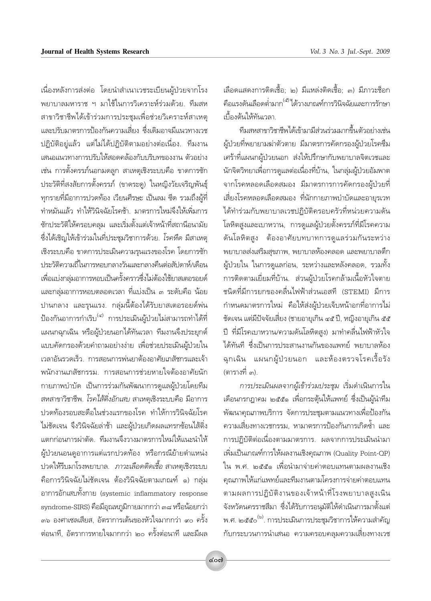เนื่องหลังการส่งต่อ โดยนำสำเนาเวชระเบียนผู้ป่วยจากโรง ้พยาบาลมหาราช ฯ มาใช้ในการวิเคราะห์ร่วมด้วย. ทีมสห สาขาวิชาชีพได้เข้าร่วมการประชุมเพื่อช่วยวิเคราะห์สาเหตุ และปรับมาตรการป้องกันความเสี่ยง ซึ่งเดิมอาจมีแนวทางเวช ปฏิบัติอยู่แล้ว แต่ไม่ได้ปฏิบัติตามอย่างต่อเนื่อง. ทีมงาน เสนอแนวทางการปรับให้สอดคล้องกับบริบทของงาน ตัวอย่าง เช่น การตั้งครรภ์นอกมดลก สาเหตเชิงระบบคือ ขาดการซัก ประวัติที่สงสัยการตั้งครรภ์ (ขาดระดู) ในหญิงวัยเจริญพันธุ์ ้ทกรายที่มีอาการปวดท้อง เวียนศีรษะ เป็นลม ซีด รวมถึงผู้ที่ ทำหมันแล้ว ทำให้วินิจฉัยโรคช้า. มาตรการใหม่จึงให้เพิ่มการ ซักประวัติให้ครอบคลม และเริ่มตั้งแต่เจ้าหน้าที่สถานีอนามัย ซึ่งได้เชิญให้เข้าร่วมในที่ประชุมวิชาการด้วย. *โรคหืด* มีสาเหตุ เชิงระบบคือ ขาดการประเมินความรุนแรงของโรค โดยการซัก ประวัติความถี่ในการหอบกลางวันและกลางคืนต่อสัปดาห์/เดือน เพื่อแบ่งกล่มอาการหอบเป็นครั้งคราวซึ่งไม่ต้องใช้ยาสเตอรอยด์ และกลุ่มอาการหอบตลอดเวลา ที่แบ่งเป็น ๓ ระดับคือ น้อย ปานกลาง และรุนแรง. กลุ่มนี้ต้องได้รับยาสเตอรอยด์พ่น ้ป้องกันอาการกำเริบ<sup>(๔)</sup> การประเมินผ้ป่วยไม่สามารถทำได้ที่ แผนกฉุกเฉิน หรือผู้ป่วยนอกได้ทันเวลา ทีมงานจึงประยุกต์ แบบคัดกรองด้วยคำถามอย่างง่าย เพื่อช่วยประเมินผู้ป่วยใน เวลาอันรวดเร็ว. การสอนการพ่นยาต้องอาศัยเภสัชกรและเจ้า ้พนักงานเภสัชกรรม การสอนการช่วยหายใจต้องอาศัยนัก กายภาพบำบัด เป็นการร่วมกันพัฒนาการดูแลผู้ป่วยโดยทีม สหสาขาวิชาชีพ. *โรคไส้ติ่งอักเสบ* สาเหตุเชิงระบบคือ มีอาการ ปวดท้องรอบสะดือในช่วงแรกของโรค ทำให้การวินิจฉัยโรค ไม่ชัดเจน จึงวินิจฉัยล่าช้า และผู้ป่วยเกิดผลแทรกซ้อนไส้ติ่ง แตกก่อนการผ่าตัด. ทีมงานจึงวางมาตรการใหม่ให้แนะนำให้ ผู้ป่วยนอนดูอาการแต่แรกปวดท้อง หรือกรณีย้ายตำแหน่ง ปวดให้รีบมาโรงพยาบาล. *ภาวะเลือดติดเชื้อ* สาเหตุเชิงระบบ ้คือการวินิจฉัยไม่ชัดเจน ต้องวินิจฉัยตามเกณฑ์ ๑) กลุ่ม อาการอักเสบทั้งกาย (systemic inflammatory response syndrome-SIRS) คือมีอุณหภูมิกายมากกว่า ๓๘ หรือน้อยกว่า .<br>๓๖ องศาเซลเสียส, อัตราการเต้นของหัวใจมากกว่า ๙๐ ครั้ง ต่อนาที, อัตราการหายใจมากกว่า ๒๐ ครั้งต่อนาที และมีผล เลือดแสดงการติดเชื้อ; ๒) มีแหล่งติดเชื้อ; ๓) มีภาวะช็อก ้คือแรงดันเลือดต่ำมาก<sup>(๕)</sup>ได้วางเกณฑ์การวินิจฉัยและการรักษา เบื้องต้นให้ทับบาลา

ทีมสหสาขาวิชาชีพได้เข้ามามีส่วนร่วมมากขึ้นตัวอย่างเช่น ผู้ป่วยที่พยายามฆ่าตัวตาย มีมาตรการคัดกรองผู้ป่วยโรคซึม เศร้าที่แผนกผู้ป่วยนอก ส่งให้ปรึกษากับพยาบาลจิตเวชและ ้นักจิตวิทยาเพื่อการดูแลต่อเนื่องที่บ้าน, ในกลุ่มผู้ป่วยอัมพาต ิจากโรคหลอดเลือดสมอง มีมาตรการการคัดกรองผู้ป่วยที่ เสี่ยงโรคหลอดเลือดสมอง ที่นักกายภาพบำบัดและอายรเวท ได้ทำร่วมกับพยาบาลเวชปภิบัติครอบครัวที่หน่วยความดัน โลหิตสูงและเบาหวาน, การดูแลผู้ป่วยตั้งครรภ์ที่มีโรคความ ์ดันโลหิตสูง ต้องอาศัยบทบาทการดูแลร่วมกันระหว่าง ้พยาบาลส่งเสริมสุขภาพ, พยาบาลห้องคลอด และพยาบาลตึก ผู้ป่วยใน ในการดูแลก่อน, ระหว่างและหลังคลอด, รวมทั้ง การติดตามเยี่ยมที่บ้าน. ส่วนผู้ป่วยโรคกล้ามเนื้อหัวใจตาย ชนิดที่มีการยกของคลื่นไฟฟ้าส่วนเอสที (STEMI) มีการ กำหนดมาตรการใหม่ คือให้ส่งผู้ป่วยเจ็บหน้าอกที่อาการไม่ ์ ชัดเจน แต่มีปัจจัยเลี่ยง (ชายอายุเกิน ๔๕ ปี, หญิงอายุเกิน ๕๕ ปี ที่มีโรคเบาหวาน/ความดันโลหิตสูง) มาทำคลื่นไฟฟ้าหัวใจ ได้ทันที ซึ่งเป็นการประสานงานกันของแพทย์ พยาบาลห้อง ฉุกเฉิน แผนกผู้ป่วยนอก และห้องตรวจโรคเรื้อรัง (ตารางที่ ๓).

การประเมินผลจากผู้เข้าร่วมประชุม เริ่มดำเนินการใน เดือนกรกฎาคม ๒๕๕๑ เพื่อกระตุ้นให้แพทย์ ซึ่งเป็นผู้นำทีม ้พัฒนาคุณภาพบริการ จัดการประชุมตามแนวทางเพื่อป้องกัน ้ความเสี่ยงทางเวชกรรม. หามาตรการป้องกันการเกิดซ้ำ และ ิการปฏิบัติต่อเนื่องตามมาตรการ. ผลจากการประเมินนำมา เพิ่มเป็นเกณฑ์การให้ผลงานเชิงคุณภาพ (Quality Point-OP) ใน พ.ศ. ๒๕๕๑ เพื่อนำมาจ่ายค่าตอบแทนตามผลงานเชิง คุณภาพให้แก่แพทย์และทีมงานตามโครงการจ่ายค่าตอบแทน ตามผลการปฏิบัติงานของเจ้าหน้าที่โรงพยาบาลสูงเนิน จังหวัดนครราชสีมา ซึ่งได้รับการอนมัติให้ดำเนินการมาตั้งแต่ พ.ศ. ๒๕๕๐ ่ การประเมินการประชุมวิชาการให้ความสำคัญ ้กับกระบวนการนำเสนอ ความครอบคลุมความเสี่ยงทางเวช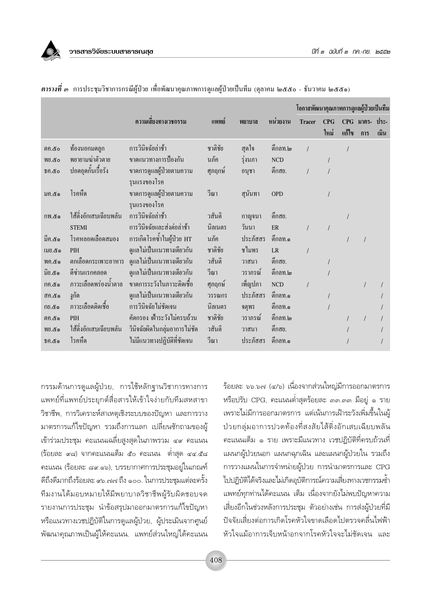|                  |                        |                               |         |          |            | โอกาสพัฒนาคุณภาพการดูแลผู้ป่วยเป็นทีม |            |       |                |       |
|------------------|------------------------|-------------------------------|---------|----------|------------|---------------------------------------|------------|-------|----------------|-------|
|                  |                        | ความเสียงทางเวชกรรม           | แพทย์   | พยาบาล   | หน่วยงาน   | <b>Tracer</b>                         | <b>CPG</b> |       | $CPG$ มาตร ประ |       |
|                  |                        |                               |         |          |            |                                       | ใหม่       | แก้ไข | ุการ           | ้เมิน |
| ตค.๕๐            | ท้องนอกมคลูก           | การวินิจฉัยล่าช้า             | ชาติชัย | สุดใจ    | ดึกลท.๒    |                                       |            |       |                |       |
| <b>WU.どo</b>     | พยายามฆ่าตัวตาย        | ขาดแนวทางการป้องกัน           | นภัค    | รุ่งนภา  | <b>NCD</b> |                                       |            |       |                |       |
| DA.&o            | ปอดอุดกั้นเรื้อรัง     | ขาดการดูแลผู้ป่วยตามความ      | ศุภฤกษ์ | อนูชา    | ดึกสย.     |                                       |            |       |                |       |
|                  |                        | รุนแรงของโรค                  |         |          |            |                                       |            |       |                |       |
| มค.๕๑            | โรคหืด                 | ขาดการดูแลผู้ป่วยตามความ      | วีณา    | สุนันทา  | <b>OPD</b> |                                       |            |       |                |       |
|                  |                        | รุนแรงของโรค                  |         |          |            |                                       |            |       |                |       |
| กพ.๕๑            | ใส้ติ้งอักเสบเฉียบพลัน | การวินิจฉัยล่าช้า             | วสันติ  | กาญจนา   | ดิ๊กสย.    |                                       |            |       |                |       |
|                  | <b>STEMI</b>           | การวินิจฉัยและส่งต่อล่าช้า    | นิลเนตร | วันนา    | ER         |                                       |            |       |                |       |
| มีค.๕๑           | โรคหลอดเลือดสมอง       | การเกิดโรคซ้ำในผู้ป่วย HT     | นภัค    | ประภัสสร | ดึกลท.๑    |                                       |            |       |                |       |
| เมย.๕๑           | PIH                    | ดูแลไม่เป็นแนวทางเดียวกัน     | ชาติชัย | ชไมพร    | <b>LR</b>  |                                       |            |       |                |       |
| พค.๕๑            | ตกเลือดกระเพาะอาหาร    | ดูแลไม่เป็นแนวทางเดียวกัน     | วสันติ  | วาสนา    | ดึกสย.     |                                       |            |       |                |       |
| ນີຍ.๕๑           | ดีซ่านแรกคลอด          | ดูแลไม่เป็นแนวทางเดียวกัน     | วีณา    | วราภรณ์  | ดึกลท.๒    |                                       |            |       |                |       |
| $n n.$ ໕໑        | ภาวะเลือดพร่องนำตาล    | ขาดการระวังในภาวะติดเชื้อ     | ศุภฤกษ์ | เพ็ญปภา  | <b>NCD</b> |                                       |            |       |                |       |
| สค.๕๑            | งูกัด                  | ดูแลไม่เป็นแนวทางเดียวกัน     | วรรณกร  | ประภัสสร | ดิ๊กลท.๑   |                                       |            |       |                |       |
| በሀ.໕໑            | ภาวะเลือดติดเชื้อ      | การวินิจฉัยไม่ชัดเจน          | นิลเนตร | จตุพร    | ดิ๊กลท.๑   |                                       |            |       |                |       |
| ตค.๕๑            | PIH                    | ้คัดกรอง เฝ้าระวังไม่ครบถ้วน  | ชาติชัย | วราภรณ์  | ดึกลท.๒    |                                       |            |       |                |       |
| <b>NU.&amp;o</b> | ใส้ติ่งอักเสบเฉียบพลัน | วินิจฉัยผิดในกลุ่มอาการไม่ชัด | วสันติ  | วาสนา    | ดึกสย.     |                                       |            |       |                |       |
| $f_n$            | โรคหืด                 | ไม่มีแนวทางปฏิบัติที่ชัดเจน   | วีณา    | ประภัสสร | ดึกลท.๑    |                                       |            |       |                |       |
|                  |                        |                               |         |          |            |                                       |            |       |                |       |

*ตารางที่ ๑* การประชุมวิชาการกรณีผู้ป่วย เพื่อพัฒนาคุณภาพการดูแลผู้ป่วยเป็นทีม (ตุลาคม ๒๕๕๐ - ธันวาคม ๒๕๕๑)

กรรมด้านการดูแลผู้ป่วย, การใช้หลักฐานวิชาการทางการ แพทย์ที่แพทย์ประยุกต์สื่อสารให้เข้าใจง่ายกับทีมสหสาขา วิชาชีพ, การวิเคราะห์สาเหตุเชิงระบบของปัญหา และการวาง มาตรการแก้ไขปัญหา รวมถึงการแลก เปลี่ยนซักถามของผู้ เข้าร่วมประชุม คะแนนเฉลี่ยสูงสุดในภาพรวม ๔๙ คะแนน (ร้อยละ ๙๘) จากคะแนนเต็ม ๕๐ คะแนน ต่ำสุด ๔๔.๕๘ คะแนน (ร้อยละ ๘๙.๑๖), บรรยากาศการประชุมอยู่ในเกณฑ์ ดีถึงดีมากถึงร้อยละ ๙๖.๗๗ ถึง ๑๐๐. ในการประชุมแต่ละครั้ง ทีมงานได้มอบหมายให้มีพยาบาลวิชาชีพผู้รับผิดชอบจด รายงานการประชุม นำข้อสรุปมาออกมาตรการแก้ไขปัญหา หรือแนวทางเวชปฏิบัติในการดูแลผู้ป่วย, ผู้ประเมินจากศูนย์ ้พัฒนาคุณภาพเป็นผู้ให้คะแนน. แพทย์ส่วนใหญ่ได้คะแนน ร้อยละ ๖๖.๖๗ (๔/๖) เนื่องจากส่วนใหญ่มีการออกมาตรการ หรือปรับ CPG, คะแนนต่ำสุดร้อยละ ๓๓.๓๓ มีอยู่ ๑ ราย เพราะไม่มีการออกมาตรการ แต่เน้นการเฝ้าระวังเพิ่มขึ้นในผู้ ู<br>ป่วยกล่มอาการปวดท้องที่สงสัยไส้ติ่งอักเสบเฉียบพลัน คะแนนเต็ม ๑ ราย เพราะมีแนวทาง เวชปฏิบัติที่ครบถ้วนที่ แผนกผู้ป่วยนอก แผนกฉุกเฉิน และแผนกผู้ป่วยใน รวมถึง การวางแผนในการจำหน่ายผู้ป่วย การนำมาตรการและ CPG ไปปฏิบัติได้จริงและไม่เกิดอุบัติการณ์ความเสี่ยงทางเวชกรรมช้ำ แพทย์ทุกท่านได้คะแนน เต็ม เนื่องจากยังไม่พบปัญหาความ เสี่ยงอีกในช่วงหลังการประชุม ตัวอย่างเช่น การส่งผู้ป่วยที่มี ้ ปัจจัยเสี่ยงต่อการเกิดโรคหัวใจขาดเลือดไปตรวจคลื่นไฟฟ้า หัวใจแม้อาการเจ็บหน้าอกจากโรคหัวใจจะไม่ชัดเจน และ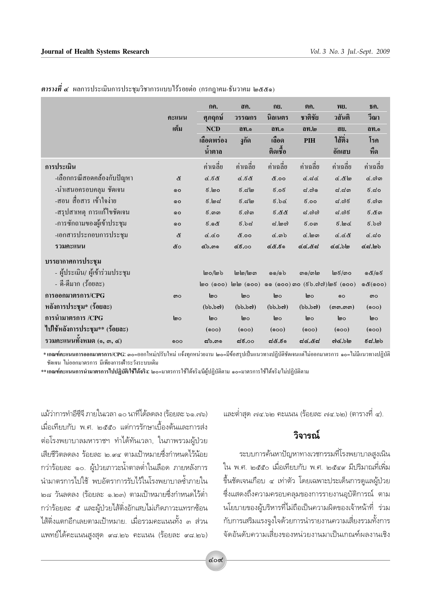|                                 | คะแนน<br>เต็ม | กค.<br>ศุภฤกษ์<br><b>NCD</b><br>เลือดพร่อง<br>น้ำตาล | ิสค.<br>วรรณกร<br>ตท.๑<br>งูกัด                   | กย.<br>นิลเนตร<br>ิดท.๑<br>เลือด<br>ติดเชื้อ | ตค.<br>ชาติชัย<br>ลท.๒<br><b>PIH</b> | พย.<br>วสันติ<br>สย.<br>ใส้ติง<br>อักเสบ | ธิค.<br>วีณา<br>ดท.๑<br>โรค<br>ที่ด |
|---------------------------------|---------------|------------------------------------------------------|---------------------------------------------------|----------------------------------------------|--------------------------------------|------------------------------------------|-------------------------------------|
| การประเมิน                      |               | ค่าเฉลี่ย                                            | ค่าเฉลี่ย                                         | ค่าเฉลี่ย                                    | ค่าเฉลี่ย                            | ค่าเฉลี่ย                                | ค่าเฉลี่ย                           |
| -เลือกกรณีสอดคล้องกับปัญหา      | ද්            | &.ಕ&                                                 | &.ಕ&                                              | ೬.೦೦                                         | d.dd                                 | های نی                                   | $\alpha$ . တဲ တ                     |
| -นำเสนอครอบคลุม ชัดเจน          | Q             | 5.00                                                 | ಕ.ನ២                                              | 5.05                                         | $\approx$ .ຕົດ                       | $\approx$ . $\approx$ ດາ                 | ಕೆ.ನಂ                               |
| -สอน สื่อสาร เข้าใจง่าย         | O             | $5.$ ಠಾಧ                                             | ಕ.ನ២                                              | 5.5d                                         | 6.00                                 | $\approx$ .೧)೯                           | $5.$ ෆා                             |
| -สรุปสาเหตุ การแก้ไขชัดเจน      | O             | <b>&amp;.ගග</b>                                      | $\epsilon$ . ෆ}ග                                  | 8.88                                         | $\approx$ . $\infty$                 | ದೆ.ದಿಕ                                   | <b>&amp;ි.</b> දිග                  |
| -การซักถามของผู้เข้าประชุม      | Q             | 5.08                                                 | <b>8.</b> bd                                      | $\approx$ .ໄຫດ)                              | 5.0 <sub>ω</sub>                     | 5.66                                     | 5.60                                |
| -เอกสารประกอบการประชุม          | ද්            | 6.60                                                 | ๕.๐๐                                              | $d$ . $ab$                                   | 6.00                                 | ৫.৫៥                                     | d.50                                |
| รวมคะแนน                        | ๕൦            | 6.5.                                                 | 66.00                                             | <b>ර</b> දී.රිඉ                              | ๔๔.๕๘                                | GG.blo                                   | $d$ ๘.๒๖                            |
| บรรยากาศการประชุม               |               |                                                      |                                                   |                                              |                                      |                                          |                                     |
| - ผู้ประเมิน/ ผู้เข้าร่วมประชุม |               | $\omega$ o/ $\omega$                                 | ๒๒/๒๑                                             | $\omega$                                     | .ெ/ெ                                 | ി $\varepsilon$ /റെ                      | යේ/ළේ                               |
| - คี-คีมาก (ร้อยละ)             |               | $\omega$ ( $\omega$                                  | $\omega$ (ඉංග) ඉග (ඉංග) ගං (දිර්.ෆ්ෆ්) ගිරි (ඉංග) |                                              | දේ $(000)$                           |                                          |                                     |
| การออกมาตรการ/CPG               | ၈၀            | $\log$                                               | <u>ပြ</u> ော                                      | <u>ပြ</u> ော                                 | <u>ပြ</u> ော                         | GO                                       | ை                                   |
| หลังการประชุม* (ร้อยละ)         |               | (bb.bc)                                              | (bb.bc)                                           | (bb.bc)                                      | (bb.bc)                              | $(\omega, \omega)$                       | (000)                               |
| การนำมาตรการ /CPG               | $\log$        | $\log$                                               | $\log$                                            | <u>ြစ</u>                                    | $\log$                               | <u>ြစ</u>                                | $\log$                              |
| ไปใช้หลังการประชุม** (ร้อยละ)   |               | (000)                                                | (000)                                             | (000)                                        | (000)                                | (000)                                    | (000)                               |
| รวมคะแนนทั้งหมด (๑, ๓, ๔)       | 000           | ඦ๖.෨෧                                                | ದ6.೦೦                                             | ನ&.ಕೂ                                        | ನ&.&ನ                                | ๗๔.๖๒                                    | <i>້</i> ຮ່ ສ.ໄຫວ                   |

ี **ตารางที่ ๔** ผลการประเมินการประชุมวิชาการแบบไร้รอยต่อ (กรกฎาคม-ธันวาคม ๒๕๕๑)

\*เกณฑ์คะแนนการออกมาตรการ/CPG: ๑๐=ออกใหม่/ปรับใหม่ แจ้งทุกหน่วยงาน ๒๐=มีข้อสรุปเป็นแนวทางปฏิบัติรัตเจนแต่ไม่ออกมาตรการ ๑๐=ไม่มีแนวทางปฏิบัติ ชัดเจน ไม่ออกมาตรการ มีเพียงการเฝ้าระวังระบบเดิม

\*\*เกณฑ์คะแนนการนำมาตรการไปปฎิบัติ/ใช้ได้จริง: ๒๐=มาตรการใช้ได้จริง/มีผู้ปฏิบัติตาม ๑๐=มาตรการใช้ได้จริง/ไม่ปฏิบัติตาม

แม้ว่าการทำอีซีจี ภายในเวลา ๑๐ นาทีได้ลดลง (ร้อยละ ๖๑.๗๖) เมื่อเทียบกับ พ.ศ. ๒๕๕๐ แต่การรักษาเบื้องต้นและการส่ง ้ต่อโรงพยาบาลมหาราชฯ ทำได้ทันเวลา, ในภาพรวมผู้ป่วย เสียชีวิตลดลง ร้อยละ ๒.๙๔ ตามเป้าหมายซึ่งกำหนดไว้น้อย กว่าร้อยละ ๑๐. ผู้ป่วยภาวะน้ำตาลต่ำในเลือด ภายหลังการ นำมาตรการไปใช้ พบอัตราการรับไว้ในโรงพยาบาลซ้ำภายใน ้๒๘ วันลดลง (ร้อยละ ๑.๒๓) ตามเป้าหมายซึ่งกำหนดไว้ต่ำ กว่าร้อยละ ๕ และผู้ป่วยไส้ติ่งอักเสบไม่เกิดภาวะแทรกซ้อน ไส้ติ่งแตกอีกเลยตามเป้าหมาย. เมื่อรวมคะแนนทั้ง ๓ ส่วน แพทย์ได้คะแนนสูงสุด ๙๘.๒๖ คะแนน (ร้อยละ ๙๘.๒๖) และต่ำสุด ๗๔.๖๒ คะแนน (ร้อยละ ๗๔.๖๒) (ตารางที่ ๔).

# วิจารณ์

ระบบการค้นหาปัญหาทางเวชกรรมที่โรงพยาบาลสูงเนิน ใน พ.ศ. ๒๕๕๐ เมื่อเทียบกับ พ.ศ. ๒๕๔๙ มีปริมาณที่เพิ่ม ขึ้นชัดเจนเกือบ ๔ เท่าตัว โดยเฉพาะประเด็นการดูแลผู้ป่วย ์ ซึ่งแสดงถึงความครอบคลุมของการรายงานอุบัติการณ์ ตาม นโยบายของผู้บริหารที่ไม่ถือเป็นความผิดของเจ้าหน้าที่ ร่วม กับการเสริมแรงจูงใจด้วยการนำรายงานความเสี่ยงรวมทั้งการ จัดอันดับความเสี่ยงของหน่วยงานมาเป็นเกณฑ์ผลงานเชิง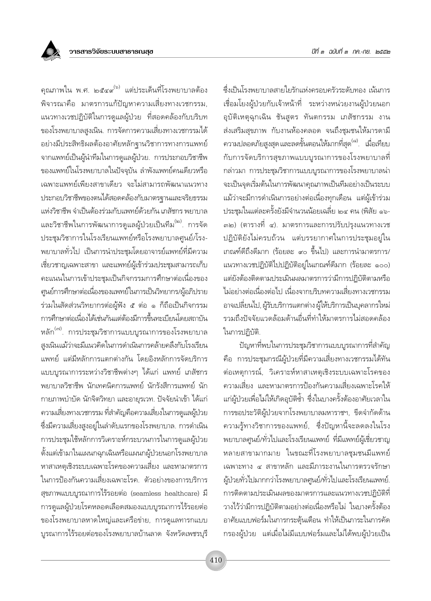ิคณภาพใน พ.ศ. ๒๕๔๙<sup>(๖)</sup> แต่ประเด็นที่โรงพยาบาลต้อง ้พิจารณาคือ มาตรการแก้ปัญหาความเสี่ยงทางเวชกรรม, แนวทางเวชปฏิบัติในการดูแลผู้ป่วย ที่สอดคล้องกับบริบท ของโรงพยาบาลสูงเนิน. การจัดการความเสี่ยงทางเวชกรรมได้ อย่างมีประสิทธิผลต้องอาศัยหลักฐานวิชาการทางการแพทย์ จากแพทย์เป็นผู้นำทีมในการดูแลผู้ป่วย. การประกอบวิชาชีพ ของแพทย์ในโรงพยาบาลในปัจจบัน ลำพังแพทย์คนเดียวหรือ เฉพาะแพทย์เพียงสาขาเดียว จะไม่สามารถพัฒนาแนวทาง ประกอบวิชาชีพของตนได้สอดคล้องกับมาตรจานและจริยธรรม แห่งวิชาชีพ จำเป็นต้องร่วมกับแพทย์ด้วยกัน เภสัชกร พยาบาล และวิชาชีพในการพัฒนาการดูแลผู้ป่วยเป็นทีม<sup>(๒)</sup>. การจัด ประชุมวิชาการในโรงเรียนแพทย์หรือโรงพยาบาลศูนย์/โรง-้พยาบาลทั่วไป เป็นการนำประชุมโดยอาจารย์แพทย์ที่มีความ เชี่ยวชาญเฉพาะสาขา และแพทย์ผู้เข้าร่วมประชุมสามารถเก็บ คะแนนในการเข้าประชุมเป็นกิจกรรมการศึกษาต่อเนื่องของ ศูนย์การศึกษาต่อเนื่องของแพทย์ในการเป็นวิทยากร/ผู้อภิปราย ร่วมในสัดส่วนวิทยากรต่อผู้ฟัง ๕ ต่อ ๑ ก็ถือเป็นกิจกรรม การศึกษาต่อเนื่องได้เช่นกันแต่ต้องมีการขึ้นทะเบียนโดยสถาบัน หลัก<sup>(๗)</sup>. การประชุมวิชาการแบบบูรณาการของโรงพยาบาล สูงเนินแม้ว่าจะมีแนวคิดในการดำเนินการคล้ายคลึงกับโรงเรียน แพทย์ แต่มีหลักการแตกต่างกัน โดยอิงหลักการจัดบริการ แบบบูรณาการระหว่างวิชาชีพต่างๆ ได้แก่ แพทย์ เภสัชกร ้พยาบาลวิชาชีพ นักเทคนิคการแพทย์ นักรังสีการแพทย์ นัก กายภาพบำบัด นักจิตวิทยา และอายุรเวท. ปัจจัยนำเข้า ได้แก่ ้ความเสี่ยงทางเวชกรรม ที่สำคัญคือความเสี่ยงในการดูแลผู้ป่วย ซึ่งมีความเสี่ยงสูงอยู่ในลำดับแรกของโรงพยาบาล. การดำเนิน การประชุมใช้หลักการวิเคราะห์กระบวนการในการดูแลผู้ป่วย ตั้งแต่เข้ามาในแผนกฉุกเฉินหรือแผนกผู้ป่วยนอกโรงพยาบาล หาสาเหตุเชิงระบบเฉพาะโรคของความเสี่ยง และหามาตรการ ในการป้องกันความเสี่ยงเฉพาะโรค. ตัวอย่างของการบริการ สุขภาพแบบบูรณาการไร้รอยต่อ (seamless healthcare) มี การดูแลผู้ป่วยโรคหลอดเลือดสมองแบบบูรณาการไร้รอยต่อ ของโรงพยาบาลหาดใหญ่และเครือข่าย, การดูแลทารกแบบ บูรณาการไร้รอยต่อของโรงพยาบาลบ้านลาด จังหวัดเพชรบุรี

ซึ่งเป็นโรงพยาบาลสายใยรักแห่งครอบครัวระดับทอง เน้นการ เชื่อมโยงผู้ป่วยกับเจ้าหน้าที่ ระหว่างหน่วยงานผู้ป่วยนอก อุบัติเหตุฉุกเฉิน ชันสูตร ทันตกรรม เภสัชกรรม งาน ส่งเสริมสุขภาพ กับงานห้องคลอด จนถึงชุมชนให้มารดามี ิ ความปลอดภัยสูงสุด และลดขั้นตอนให้มากที่สุด<sup>(๘)</sup>. เมื่อเทียบ กับการจัดบริการสุขภาพแบบบูรณาการของโรงพยาบาลที่ กล่าวมา การประชุมวิชาการแบบบูรณาการของโรงพยาบาลน่า จะเป็นจุดเริ่มต้นในการพัฒนาคุณภาพเป็นทีมอย่างเป็นระบบ แม้ว่าจะมีการดำเนินการอย่างต่อเนื่องทกเดือน แต่ผู้เข้าร่วม ประชุมในแต่ละครั้งยังมีจำนวนน้อยเฉลี่ย ๒๔ คน (พิสัย ๑๖-ี ๓๒) (ตารางที่ ๔). มาตรการและการปรับปรุงแนวทางเวช ปฏิบัติยังไม่ครบถ้วน แต่บรรยากาศในการประชุมอยู่ใน เกณฑ์ดีถึงดีมาก (ร้อยละ ๙๐ ขึ้นไป) และการนำมาตรการ/ แนวทางเวชปฏิบัติไปปฏิบัติอยู่ในเกณฑ์ดีมาก (ร้อยละ ๑๐๐) แต่ยังต้องติดตามประเมินผลมาตรการว่ามีการปฏิบัติตามหรือ ไม่อย่างต่อเนื่องต่อไป เนื่องจากบริบทความเสี่ยงทางเวชกรรม อาจเปลี่ยนไป, ผู้รับบริการแตกต่าง ผู้ให้บริการเป็นบุคลากรใหม่ รวมถึงปัจจัยแวดล้อมด้านอื่นที่ทำให้มาตรการไม่สอดคล้อง ในการปฏิบัติ.

ปัญหาที่พบในการประชุมวิชาการแบบบูรณาการที่สำคัญ คือ การประชุมกรณีผู้ป่วยที่มีความเสี่ยงทางเวชกรรมได้ทัน ต่อเหตุการณ์, วิเคราะห์หาสาเหตุเชิงระบบเฉพาะโรคของ ้ความเสี่ยง และหามาตรการป้องกันความเสี่ยงเฉพาะโรคให้ แก่ผู้ป่วยเพื่อไม่ให้เกิดอุบัติซ้ำ ซึ่งในบางครั้งต้องอาศัยเวลาใน การขอประวัติผู้ป่วยจากโรงพยาบาลมหาราชฯ, ขีดจำกัดด้าน ความรู้ทางวิชาการของแพทย์, ซึ่งปัญหานี้จะลดลงในโรง ้พยาบาลศูนย์/ทั่วไปและโรงเรียนแพทย์ ที่มีแพทย์ผู้เชี่ยวชาญ หลายสาขามากมาย ในขณะที่โรงพยาบาลชุมชนมีแพทย์ เฉพาะทาง ๔ สาขาหลัก และมีภาระงานในการตรวจรักษา ผู้ป่วยทั่วไปมากกว่าโรงพยาบาลศูนย์/ทั่วไปและโรงเรียนแพทย์. การติดตามประเมินผลของมาตรการและแนวทางเวชปฏิบัติที่ วางไว้ว่ามีการปฏิบัติตามอย่างต่อเนื่องหรือไม่ ในบางครั้งต้อง อาศัยแบบฟอร์มในการกระตุ้นเตือน ทำให้เป็นภาระในการคัด ้กรองผู้ป่วย แต่เมื่อไม่มีแบบฟอร์มและไม่ได้พบผู้ป่วยเป็น